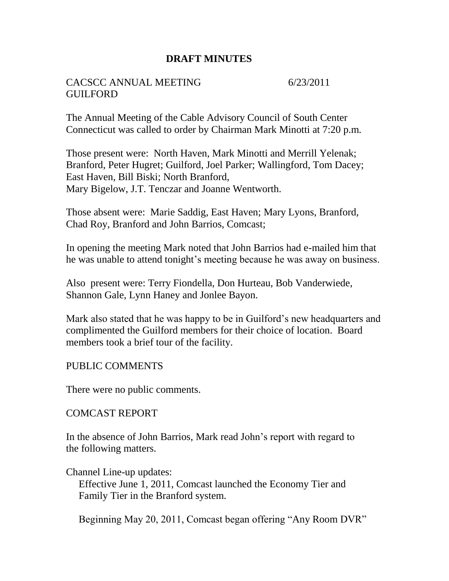### **DRAFT MINUTES**

#### CACSCC ANNUAL MEETING 6/23/2011 GUILFORD

The Annual Meeting of the Cable Advisory Council of South Center Connecticut was called to order by Chairman Mark Minotti at 7:20 p.m.

Those present were: North Haven, Mark Minotti and Merrill Yelenak; Branford, Peter Hugret; Guilford, Joel Parker; Wallingford, Tom Dacey; East Haven, Bill Biski; North Branford, Mary Bigelow, J.T. Tenczar and Joanne Wentworth.

Those absent were: Marie Saddig, East Haven; Mary Lyons, Branford, Chad Roy, Branford and John Barrios, Comcast;

In opening the meeting Mark noted that John Barrios had e-mailed him that he was unable to attend tonight's meeting because he was away on business.

Also present were: Terry Fiondella, Don Hurteau, Bob Vanderwiede, Shannon Gale, Lynn Haney and Jonlee Bayon.

Mark also stated that he was happy to be in Guilford's new headquarters and complimented the Guilford members for their choice of location. Board members took a brief tour of the facility.

#### PUBLIC COMMENTS

There were no public comments.

#### COMCAST REPORT

In the absence of John Barrios, Mark read John's report with regard to the following matters.

Channel Line-up updates:

 Effective June 1, 2011, Comcast launched the Economy Tier and Family Tier in the Branford system.

Beginning May 20, 2011, Comcast began offering "Any Room DVR"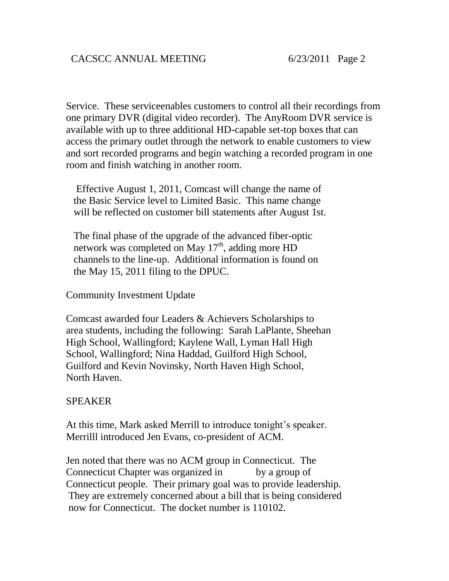Service. These serviceenables customers to control all their recordings from one primary DVR (digital video recorder). The AnyRoom DVR service is available with up to three additional HD-capable set-top boxes that can access the primary outlet through the network to enable customers to view and sort recorded programs and begin watching a recorded program in one room and finish watching in another room.

 Effective August 1, 2011, Comcast will change the name of the Basic Service level to Limited Basic. This name change will be reflected on customer bill statements after August 1st.

 The final phase of the upgrade of the advanced fiber-optic network was completed on May 17<sup>th</sup>, adding more HD channels to the line-up. Additional information is found on the May 15, 2011 filing to the DPUC.

Community Investment Update

Comcast awarded four Leaders & Achievers Scholarships to area students, including the following: Sarah LaPlante, Sheehan High School, Wallingford; Kaylene Wall, Lyman Hall High School, Wallingford; Nina Haddad, Guilford High School, Guilford and Kevin Novinsky, North Haven High School, North Haven.

#### SPEAKER

At this time, Mark asked Merrill to introduce tonight's speaker. Merrilll introduced Jen Evans, co-president of ACM.

Jen noted that there was no ACM group in Connecticut. The Connecticut Chapter was organized in by a group of Connecticut people. Their primary goal was to provide leadership. They are extremely concerned about a bill that is being considered now for Connecticut. The docket number is 110102.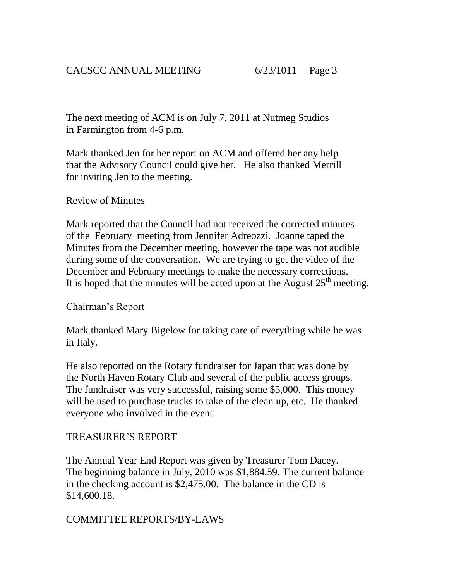The next meeting of ACM is on July 7, 2011 at Nutmeg Studios in Farmington from 4-6 p.m.

Mark thanked Jen for her report on ACM and offered her any help that the Advisory Council could give her. He also thanked Merrill for inviting Jen to the meeting.

### Review of Minutes

Mark reported that the Council had not received the corrected minutes of the February meeting from Jennifer Adreozzi. Joanne taped the Minutes from the December meeting, however the tape was not audible during some of the conversation. We are trying to get the video of the December and February meetings to make the necessary corrections. It is hoped that the minutes will be acted upon at the August  $25<sup>th</sup>$  meeting.

#### Chairman's Report

Mark thanked Mary Bigelow for taking care of everything while he was in Italy.

He also reported on the Rotary fundraiser for Japan that was done by the North Haven Rotary Club and several of the public access groups. The fundraiser was very successful, raising some \$5,000. This money will be used to purchase trucks to take of the clean up, etc. He thanked everyone who involved in the event.

## TREASURER'S REPORT

The Annual Year End Report was given by Treasurer Tom Dacey. The beginning balance in July, 2010 was \$1,884.59. The current balance in the checking account is \$2,475.00. The balance in the CD is \$14,600.18.

## COMMITTEE REPORTS/BY-LAWS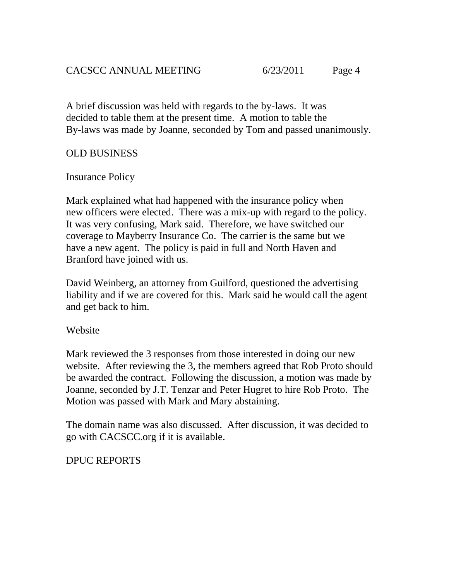A brief discussion was held with regards to the by-laws. It was decided to table them at the present time. A motion to table the By-laws was made by Joanne, seconded by Tom and passed unanimously.

# OLD BUSINESS

# Insurance Policy

Mark explained what had happened with the insurance policy when new officers were elected. There was a mix-up with regard to the policy. It was very confusing, Mark said. Therefore, we have switched our coverage to Mayberry Insurance Co. The carrier is the same but we have a new agent. The policy is paid in full and North Haven and Branford have joined with us.

David Weinberg, an attorney from Guilford, questioned the advertising liability and if we are covered for this. Mark said he would call the agent and get back to him.

## Website

Mark reviewed the 3 responses from those interested in doing our new website. After reviewing the 3, the members agreed that Rob Proto should be awarded the contract. Following the discussion, a motion was made by Joanne, seconded by J.T. Tenzar and Peter Hugret to hire Rob Proto. The Motion was passed with Mark and Mary abstaining.

The domain name was also discussed. After discussion, it was decided to go with CACSCC.org if it is available.

# DPUC REPORTS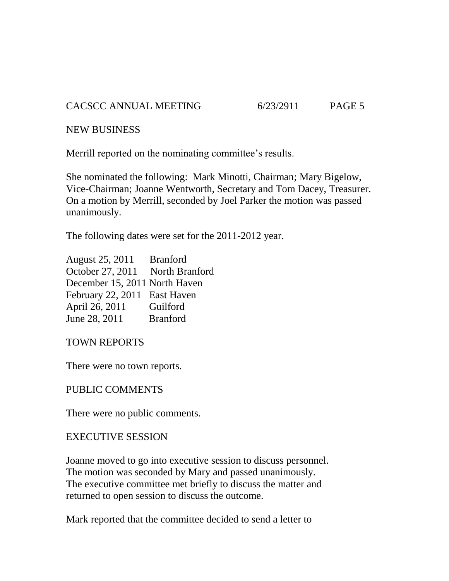CACSCC ANNUAL MEETING 6/23/2911 PAGE 5

NEW BUSINESS

Merrill reported on the nominating committee's results.

She nominated the following: Mark Minotti, Chairman; Mary Bigelow, Vice-Chairman; Joanne Wentworth, Secretary and Tom Dacey, Treasurer. On a motion by Merrill, seconded by Joel Parker the motion was passed unanimously.

The following dates were set for the 2011-2012 year.

August 25, 2011 Branford October 27, 2011 North Branford December 15, 2011 North Haven February 22, 2011 East Haven April 26, 2011 Guilford June 28, 2011 Branford

TOWN REPORTS

There were no town reports.

PUBLIC COMMENTS

There were no public comments.

## EXECUTIVE SESSION

Joanne moved to go into executive session to discuss personnel. The motion was seconded by Mary and passed unanimously. The executive committee met briefly to discuss the matter and returned to open session to discuss the outcome.

Mark reported that the committee decided to send a letter to